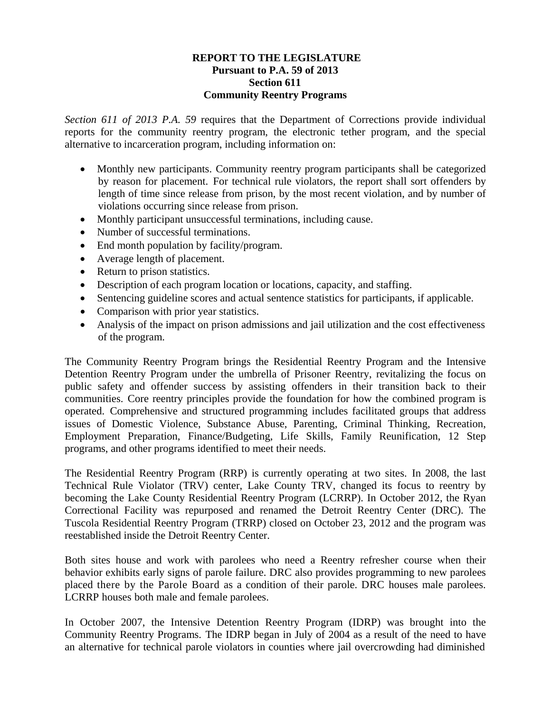### **REPORT TO THE LEGISLATURE Pursuant to P.A. 59 of 2013 Section 611 Community Reentry Programs**

*Section 611 of 2013 P.A. 59* requires that the Department of Corrections provide individual reports for the community reentry program, the electronic tether program, and the special alternative to incarceration program, including information on:

- Monthly new participants. Community reentry program participants shall be categorized by reason for placement. For technical rule violators, the report shall sort offenders by length of time since release from prison, by the most recent violation, and by number of violations occurring since release from prison.
- Monthly participant unsuccessful terminations, including cause.
- Number of successful terminations.
- End month population by facility/program.
- Average length of placement.
- Return to prison statistics.
- Description of each program location or locations, capacity, and staffing.
- Sentencing guideline scores and actual sentence statistics for participants, if applicable.
- Comparison with prior year statistics.
- Analysis of the impact on prison admissions and jail utilization and the cost effectiveness of the program.

The Community Reentry Program brings the Residential Reentry Program and the Intensive Detention Reentry Program under the umbrella of Prisoner Reentry, revitalizing the focus on public safety and offender success by assisting offenders in their transition back to their communities. Core reentry principles provide the foundation for how the combined program is operated. Comprehensive and structured programming includes facilitated groups that address issues of Domestic Violence, Substance Abuse, Parenting, Criminal Thinking, Recreation, Employment Preparation, Finance/Budgeting, Life Skills, Family Reunification, 12 Step programs, and other programs identified to meet their needs.

The Residential Reentry Program (RRP) is currently operating at two sites. In 2008, the last Technical Rule Violator (TRV) center, Lake County TRV, changed its focus to reentry by becoming the Lake County Residential Reentry Program (LCRRP). In October 2012, the Ryan Correctional Facility was repurposed and renamed the Detroit Reentry Center (DRC). The Tuscola Residential Reentry Program (TRRP) closed on October 23, 2012 and the program was reestablished inside the Detroit Reentry Center.

Both sites house and work with parolees who need a Reentry refresher course when their behavior exhibits early signs of parole failure. DRC also provides programming to new parolees placed there by the Parole Board as a condition of their parole. DRC houses male parolees. LCRRP houses both male and female parolees.

In October 2007, the Intensive Detention Reentry Program (IDRP) was brought into the Community Reentry Programs. The IDRP began in July of 2004 as a result of the need to have an alternative for technical parole violators in counties where jail overcrowding had diminished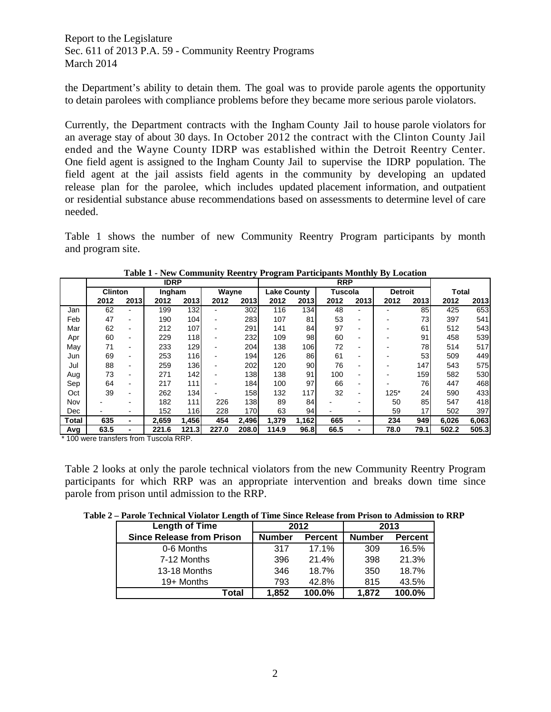the Department's ability to detain them. The goal was to provide parole agents the opportunity to detain parolees with compliance problems before they became more serious parole violators.

Currently, the Department contracts with the Ingham County Jail to house parole violators for an average stay of about 30 days. In October 2012 the contract with the Clinton County Jail ended and the Wayne County IDRP was established within the Detroit Reentry Center. One field agent is assigned to the Ingham County Jail to supervise the IDRP population. The field agent at the jail assists field agents in the community by developing an updated release plan for the parolee, which includes updated placement information, and outpatient or residential substance abuse recommendations based on assessments to determine level of care needed.

Table 1 shows the number of new Community Reentry Program participants by month and program site.

|              |                |                          | <b>IDRP</b> |                  |       |                  | <b>RRP</b>         |       |                |      |                |      |              |       |
|--------------|----------------|--------------------------|-------------|------------------|-------|------------------|--------------------|-------|----------------|------|----------------|------|--------------|-------|
|              | <b>Clinton</b> |                          | Ingham      |                  | Wayne |                  | <b>Lake County</b> |       | <b>Tuscola</b> |      | <b>Detroit</b> |      | <b>Total</b> |       |
|              | 2012           | 2013                     | 2012        | 2013             | 2012  | 2013             | 2012               | 2013  | 2012           | 2013 | 2012           | 2013 | 2012         | 2013  |
| Jan          | 62             |                          | 199         | 132              |       | 302              | 116                | 134   | 48             |      |                | 85   | 425          | 653   |
| Feb          | 47             | ۰                        | 190         | 104              |       | 283              | 107                | 81    | 53             |      |                | 73   | 397          | 541   |
| Mar          | 62             | $\blacksquare$           | 212         | 107              |       | 291              | 141                | 84    | 97             |      |                | 61   | 512          | 543   |
| Apr          | 60             | $\blacksquare$           | 229         | 118              |       | 232              | 109                | 98    | 60             | -    |                | 91   | 458          | 539   |
| May          | 71             | ۰                        | 233         | 129              |       | 204              | 138                | 106   | 72             |      |                | 78   | 514          | 517   |
| Jun          | 69             | ۰                        | 253         | 116              |       | 194 <sub>1</sub> | 126                | 86    | 61             |      |                | 53   | 509          | 449   |
| Jul          | 88             | $\overline{\phantom{0}}$ | 259         | 136              |       | 202              | 120                | 90    | 76             |      |                | 147  | 543          | 575   |
| Aug          | 73             | $\blacksquare$           | 271         | 142              |       | 138              | 138                | 91    | 100            | -    |                | 159  | 582          | 530   |
| Sep          | 64             | ۰                        | 217         | 111              |       | 184              | 100                | 97    | 66             |      |                | 76   | 447          | 468   |
| Oct          | 39             | ۰                        | 262         | 134 <sub>1</sub> |       | 158              | 132                | 117   | 32             | -    | $125*$         | 24   | 590          | 433   |
| Nov          |                |                          | 182         | 111              | 226   | 138              | 89                 | 84    |                |      | 50             | 85   | 547          | 418   |
| Dec          |                |                          | 152         | 116              | 228   | 170              | 63                 | 94    |                |      | 59             | 17   | 502          | 397   |
| <b>Total</b> | 635            | ٠                        | 2,659       | 1,456            | 454   | 2,496            | 1,379              | 1,162 | 665            |      | 234            | 949  | 6,026        | 6,063 |
| Avg          | 63.5           | ۰                        | 221.6       | 121.3            | 227.0 | 208.0            | 114.9              | 96.8  | 66.5           |      | 78.0           | 79.1 | 502.2        | 505.3 |

**Table 1 - New Community Reentry Program Participants Monthly By Location** 

\* 100 were transfers from Tuscola RRP.

Table 2 looks at only the parole technical violators from the new Community Reentry Program participants for which RRP was an appropriate intervention and breaks down time since parole from prison until admission to the RRP.

| Table 2 – Parole Technical Violator Length of Time Since Release from Prison to Admission to RRP |  |
|--------------------------------------------------------------------------------------------------|--|
|--------------------------------------------------------------------------------------------------|--|

| <b>Length of Time</b>            |               | 2012           | 2013          |                |  |
|----------------------------------|---------------|----------------|---------------|----------------|--|
| <b>Since Release from Prison</b> | <b>Number</b> | <b>Percent</b> | <b>Number</b> | <b>Percent</b> |  |
| 0-6 Months                       | 317           | 17.1%          | 309           | 16.5%          |  |
| 7-12 Months                      | 396           | 21.4%          | 398           | 21.3%          |  |
| 13-18 Months                     | 346           | 18.7%          | 350           | 18.7%          |  |
| 19+ Months                       | 793           | 42.8%          | 815           | 43.5%          |  |
| Total                            | 1,852         | 100.0%         | 1.872         | 100.0%         |  |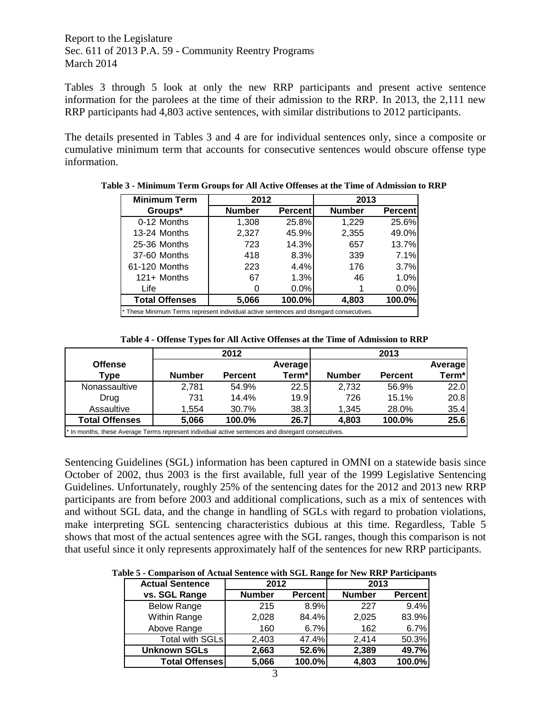Tables 3 through 5 look at only the new RRP participants and present active sentence information for the parolees at the time of their admission to the RRP. In 2013, the 2,111 new RRP participants had 4,803 active sentences, with similar distributions to 2012 participants.

The details presented in Tables 3 and 4 are for individual sentences only, since a composite or cumulative minimum term that accounts for consecutive sentences would obscure offense type information.

| <b>Minimum Term</b>                                                                     | 2012          |                 | 2013          |                 |  |  |  |  |
|-----------------------------------------------------------------------------------------|---------------|-----------------|---------------|-----------------|--|--|--|--|
| Groups*                                                                                 | <b>Number</b> | <b>Percentl</b> | <b>Number</b> | <b>Percentl</b> |  |  |  |  |
| 0-12 Months                                                                             | 1,308         | 25.8%           | 1,229         | 25.6%           |  |  |  |  |
| 13-24 Months                                                                            | 2,327         | 45.9%           | 2,355         | 49.0%           |  |  |  |  |
| 25-36 Months                                                                            | 723           | 14.3%           | 657           | 13.7%           |  |  |  |  |
| 37-60 Months                                                                            | 418           | 8.3%            | 339           | 7.1%            |  |  |  |  |
| 61-120 Months                                                                           | 223           | 4.4%            | 176           | 3.7%            |  |  |  |  |
| $121 +$ Months                                                                          | 67            | 1.3%            | 46            | 1.0%            |  |  |  |  |
| Life                                                                                    |               | 0.0%            |               |                 |  |  |  |  |
| <b>Total Offenses</b><br>100.0%<br>100.0%<br>4,803<br>5,066                             |               |                 |               |                 |  |  |  |  |
| * These Minimum Terms represent individual active sentences and disregard consecutives. |               |                 |               |                 |  |  |  |  |

**Table 3 - Minimum Term Groups for All Active Offenses at the Time of Admission to RRP**

|                                                                                             |               | 2012           |         |               | 2013           |                |
|---------------------------------------------------------------------------------------------|---------------|----------------|---------|---------------|----------------|----------------|
| <b>Offense</b>                                                                              |               |                | Average |               |                | <b>Average</b> |
| Type                                                                                        | <b>Number</b> | <b>Percent</b> | Term*   | <b>Number</b> | <b>Percent</b> | Term*          |
| Nonassaultive                                                                               | 2.781         | 54.9%          | 22.5    | 2,732         | 56.9%          | 22.0           |
| Drug                                                                                        | 731           | 14.4%          | 19.9    | 726           | 15.1%          | 20.8           |
| Assaultive                                                                                  | 1.554         | 30.7%          | 38.3    | 1.345         | 28.0%          | 35.4           |
| <b>Total Offenses</b>                                                                       | 5.066         | 100.0%         | 26.7    | 4,803         | 100.0%         | 25.6           |
| t in months, these Averson Terms represent individual orthonor and discovered consequitives |               |                |         |               |                |                |

\* In months, these Average Terms represent individual active sentences and disregard consecutives.

Sentencing Guidelines (SGL) information has been captured in OMNI on a statewide basis since October of 2002, thus 2003 is the first available, full year of the 1999 Legislative Sentencing Guidelines. Unfortunately, roughly 25% of the sentencing dates for the 2012 and 2013 new RRP participants are from before 2003 and additional complications, such as a mix of sentences with and without SGL data, and the change in handling of SGLs with regard to probation violations, make interpreting SGL sentencing characteristics dubious at this time. Regardless, Table 5 shows that most of the actual sentences agree with the SGL ranges, though this comparison is not that useful since it only represents approximately half of the sentences for new RRP participants.

**Table 5 - Comparison of Actual Sentence with SGL Range for New RRP Participants**

| <b>Actual Sentence</b> | 2012          |                | 2013          |                |  |  |
|------------------------|---------------|----------------|---------------|----------------|--|--|
| vs. SGL Range          | <b>Number</b> | <b>Percent</b> | <b>Number</b> | <b>Percent</b> |  |  |
| <b>Below Range</b>     | 215           | 8.9%           | 227           | 9.4%           |  |  |
| Within Range           | 2,028         | 84.4%          | 2,025         | 83.9%          |  |  |
| Above Range            | 160           | 6.7%           | 162           | 6.7%           |  |  |
| <b>Total with SGLs</b> | 2,403         | 47.4%          | 2,414         | 50.3%          |  |  |
| <b>Unknown SGLs</b>    | 2,663         | 52.6%          | 2,389         | 49.7%          |  |  |
| <b>Total Offenses</b>  | 5,066         | 100.0%         | 4,803         | 100.0%         |  |  |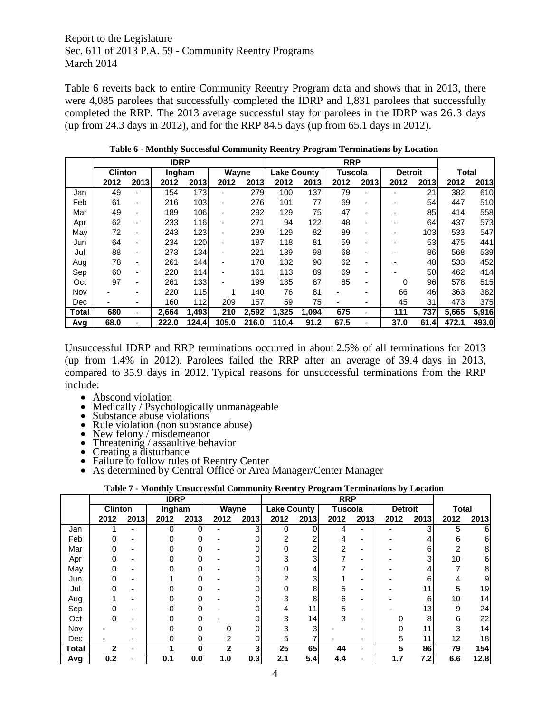Table 6 reverts back to entire Community Reentry Program data and shows that in 2013, there were 4,085 parolees that successfully completed the IDRP and 1,831 parolees that successfully completed the RRP. The 2013 average successful stay for parolees in the IDRP was 26.3 days (up from 24.3 days in 2012), and for the RRP 84.5 days (up from 65.1 days in 2012).

|       |                |      | <b>IDRP</b> |        |                          |       | <b>RRP</b>         |       |                |      |                |      |              |       |
|-------|----------------|------|-------------|--------|--------------------------|-------|--------------------|-------|----------------|------|----------------|------|--------------|-------|
|       | <b>Clinton</b> |      | Ingham      |        | Wayne                    |       | <b>Lake County</b> |       | <b>Tuscola</b> |      | <b>Detroit</b> |      | <b>Total</b> |       |
|       | 2012           | 2013 | 2012        | 2013   | 2012                     | 2013  | 2012               | 2013  | 2012           | 2013 | 2012           | 2013 | 2012         | 2013  |
| Jan   | 49             |      | 154         | 173    | $\overline{\phantom{0}}$ | 279   | 100                | 137   | 79             |      |                | 21   | 382          | 610   |
| Feb   | 61             | ٠    | 216         | 103    |                          | 276   | 101                | 77    | 69             |      |                | 54   | 447          | 510   |
| Mar   | 49             | ٠    | 189         | 106    | -                        | 292   | 129                | 75    | 47             | -    |                | 85   | 414          | 558   |
| Apr   | 62             | ٠    | 233         | 116    | -                        | 271   | 94                 | 122   | 48             | ۰    |                | 64   | 437          | 573   |
| May   | 72             | ٠    | 243         | 123    |                          | 239   | 129                | 82    | 89             |      |                | 103  | 533          | 547   |
| Jun   | 64             | ٠    | 234         | 120    | -                        | 187   | 118                | 81    | 59             |      |                | 53   | 475          | 441   |
| Jul   | 88             | ٠    | 273         | 134    |                          | 221   | 139                | 98    | 68             |      |                | 86   | 568          | 539   |
| Aug   | 78             | ٠    | 261         | 144    |                          | 170   | 132                | 90    | 62             |      |                | 48   | 533          | 452   |
| Sep   | 60             | ٠    | 220         | 114    | -                        | 161   | 113                | 89    | 69             |      |                | 50   | 462          | 414   |
| Oct   | 97             | ٠    | 261         | 133    |                          | 199   | 135                | 87    | 85             | -    | 0              | 96   | 578          | 515   |
| Nov   |                |      | 220         | 115    |                          | 140   | 76                 | 81    |                |      | 66             | 46   | 363          | 382   |
| Dec   |                |      | 160         | 112    | 209                      | 157   | 59                 | 75    |                |      | 45             | 31   | 473          | 375   |
| Total | 680            | ۰    | 2,664       | 1,493  | 210                      | 2,592 | 1,325              | 1,094 | 675            |      | 111            | 737  | 5,665        | 5,916 |
| Avg   | 68.0           |      | 222.0       | 124.41 | 105.0                    | 216.0 | 110.4              | 91.2  | 67.5           |      | 37.0           | 61.4 | 472.1        | 493.0 |

**Table 6 - Monthly Successful Community Reentry Program Terminations by Location**

Unsuccessful IDRP and RRP terminations occurred in about 2.5% of all terminations for 2013 (up from 1.4% in 2012). Parolees failed the RRP after an average of 39.4 days in 2013, compared to 35.9 days in 2012. Typical reasons for unsuccessful terminations from the RRP include:

- 
- 
- 
- 
- 
- 
- 
- 
- Abscond violation<br>
Medically / Psychologically unmanageable<br>
Substance abuse violations<br>
Rule violation (non substance abuse)<br>
New felony / misdemeanor<br>
Threatening / assaultive behavior<br>
Creating a disturban

#### **Table 7 - Monthly Unsuccessful Community Reentry Program Terminations by Location**

|              |                |      | <b>IDRP</b> |        |              |       | <b>RRP</b>         |                 |                |      |                |      |              |      |
|--------------|----------------|------|-------------|--------|--------------|-------|--------------------|-----------------|----------------|------|----------------|------|--------------|------|
|              | <b>Clinton</b> |      |             | Ingham |              | Wayne | <b>Lake County</b> |                 | <b>Tuscola</b> |      | <b>Detroit</b> |      | <b>Total</b> |      |
|              | 2012           | 2013 | 2012        | 2013   | 2012         | 2013  | 2012               | 2013            | 2012           | 2013 | 2012           | 2013 | 2012         | 2013 |
| Jan          |                |      | O           |        |              | З     | በ                  | በ               |                |      |                | 31   | 5            | 6    |
| Feb          |                |      |             |        |              |       | 2                  |                 |                |      |                |      | 6            | 6    |
| Mar          |                |      |             |        |              |       |                    |                 | 2              |      |                | 6    | 2            | 8    |
| Apr          |                | ۰    |             |        |              |       |                    |                 |                | ۰    |                | з    | 10           | 6    |
| May          |                | -    |             |        |              |       |                    |                 |                | -    |                |      |              | 8    |
| Jun          |                |      |             |        |              |       |                    |                 |                |      |                |      |              | 9    |
| Jul          |                |      |             |        |              |       |                    | 8               | 5              |      |                |      | 5            | 19   |
| Aug          |                |      |             |        |              |       |                    | 8               | 6              |      |                | 6    | 10           | 14   |
| Sep          |                |      |             |        |              |       |                    | 11              | 5              |      |                | 13   | 9            | 24   |
| Oct          |                | -    |             |        |              |       | ◠                  | 14 <sub>1</sub> | 3              |      |                | 8    | 6            | 22   |
| Nov          |                |      |             |        |              |       |                    | ◠               |                |      |                | 11   | 3            | 14   |
| Dec          |                |      |             | 0      | ົ            | 0     | 5                  |                 |                |      | 5              | 11   | 12           | 18   |
| <b>Total</b> | $\mathbf 2$    | ۰    |             | 0      | $\mathbf{2}$ | 3     | 25                 | 65              | 44             | ۰    | 5              | 86   | 79           | 154  |
| Avg          | 0.2            |      | 0.1         | 0.0    | 1.0          | 0.3   | 2.1                | 5.4             | 4.4            |      | 1.7            | 7.2  | 6.6          | 12.8 |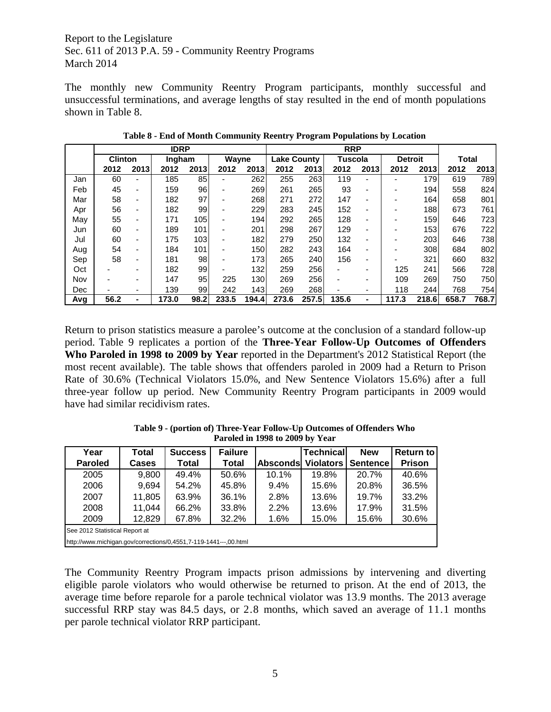The monthly new Community Reentry Program participants, monthly successful and unsuccessful terminations, and average lengths of stay resulted in the end of month populations shown in Table 8.

|     |                |      | <b>IDRP</b> |      |       |        | <b>RRP</b> |                    |       |                          |                |                  |              |       |
|-----|----------------|------|-------------|------|-------|--------|------------|--------------------|-------|--------------------------|----------------|------------------|--------------|-------|
|     | <b>Clinton</b> |      | Ingham      |      | Wayne |        |            | <b>Lake County</b> |       | Tuscola                  | <b>Detroit</b> |                  | <b>Total</b> |       |
|     | 2012           | 2013 | 2012        | 2013 | 2012  | 2013   | 2012       | 2013               | 2012  | 2013                     | 2012           | 2013             | 2012         | 2013  |
| Jan | 60             |      | 185         | 85   | ٠     | 262    | 255        | 263                | 119   |                          |                | 179              | 619          | 789   |
| Feb | 45             |      | 159         | 96   | -     | 269    | 261        | 265                | 93    | $\overline{\phantom{0}}$ |                | 194 <sub>1</sub> | 558          | 824   |
| Mar | 58             | ٠    | 182         | 97   | ٠     | 268    | 271        | 272                | 147   | ۰                        |                | 164              | 658          | 801   |
| Apr | 56             | ٠    | 182         | 99   | -     | 229    | 283        | 245                | 152   | -                        |                | 188              | 673          | 761   |
| May | 55             | ٠    | 171         | 105  | -     | 194    | 292        | 265                | 128   | ۰                        |                | 159              | 646          | 723   |
| Jun | 60             | ٠    | 189         | 101  | ٠     | 201    | 298        | 267                | 129   | ۰                        |                | 153              | 676          | 722   |
| Jul | 60             | ۰    | 175         | 103  | ۰     | 182    | 279        | 250                | 132   | $\overline{\phantom{0}}$ |                | 203              | 646          | 738   |
| Aug | 54             | ٠    | 184         | 101  | -     | 150    | 282        | 243                | 164   | ٠                        |                | 308              | 684          | 802   |
| Sep | 58             |      | 181         | 98   | -     | 173    | 265        | 240                | 156   | ۰                        |                | 321              | 660          | 832   |
| Oct |                |      | 182         | 99   | -     | 132    | 259        | 256                |       | -                        | 125            | 241              | 566          | 728   |
| Nov |                |      | 147         | 95   | 225   | 130    | 269        | 256                |       | -                        | 109            | 269              | 750          | 750   |
| Dec |                |      | 139         | 99   | 242   | 143    | 269        | 268                |       | -                        | 118            | 244              | 768          | 754   |
| Avg | 56.2           | ۰    | 173.0       | 98.2 | 233.5 | 194.41 | 273.6      | 257.5              | 135.6 | ۰                        | 117.3          | 218.6            | 658.7        | 768.7 |

**Table 8 - End of Month Community Reentry Program Populations by Location**

Return to prison statistics measure a parolee's outcome at the conclusion of a standard follow-up period. Table 9 replicates a portion of the **Three-Year Follow-Up Outcomes of Offenders Who Paroled in 1998 to 2009 by Year** reported in the Department's 2012 Statistical Report (the most recent available). The table shows that offenders paroled in 2009 had a Return to Prison Rate of 30.6% (Technical Violators 15.0%, and New Sentence Violators 15.6%) after a full three-year follow up period. New Community Reentry Program participants in 2009 would have had similar recidivism rates.

| Year                                                                | Total        | <b>Success</b> | <b>Failure</b> |                 | <b>Technical</b> | <b>New</b> | <b>Return to</b> |  |  |
|---------------------------------------------------------------------|--------------|----------------|----------------|-----------------|------------------|------------|------------------|--|--|
| <b>Paroled</b>                                                      | <b>Cases</b> | Total          | <b>Total</b>   | <b>Absconds</b> | <b>Violators</b> | Sentence   | <b>Prison</b>    |  |  |
| 2005                                                                | 9,800        | 49.4%          | 50.6%          | 10.1%           | 19.8%            | 20.7%      | 40.6%            |  |  |
| 2006                                                                | 9,694        | 54.2%          | 45.8%          | 9.4%            | 15.6%            | 20.8%      | 36.5%            |  |  |
| 2007                                                                | 11,805       | 63.9%          | 36.1%          | 2.8%            | 13.6%            | 19.7%      | 33.2%            |  |  |
| 2008                                                                | 11,044       | 66.2%          | 33.8%          | 2.2%            | 13.6%            | 17.9%      | 31.5%            |  |  |
| 12,829<br>30.6%<br>2009<br>67.8%<br>32.2%<br>1.6%<br>15.0%<br>15.6% |              |                |                |                 |                  |            |                  |  |  |
| See 2012 Statistical Report at                                      |              |                |                |                 |                  |            |                  |  |  |
| http://www.michigan.gov/corrections/0,4551,7-119-1441---,00.html    |              |                |                |                 |                  |            |                  |  |  |

**Table 9 - (portion of) Three-Year Follow-Up Outcomes of Offenders Who Paroled in 1998 to 2009 by Year**

The Community Reentry Program impacts prison admissions by intervening and diverting eligible parole violators who would otherwise be returned to prison. At the end of 2013, the average time before reparole for a parole technical violator was 13.9 months. The 2013 average successful RRP stay was 84.5 days, or 2.8 months, which saved an average of 11.1 months per parole technical violator RRP participant.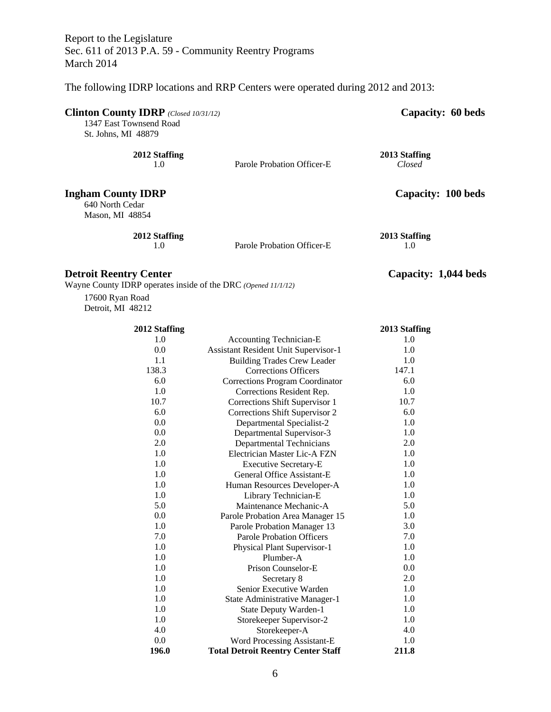The following IDRP locations and RRP Centers were operated during 2012 and 2013:

| Clinton County IDRP (Closed 10/31/12)<br>1347 East Townsend Road<br>St. Johns, MI 48879 |                            | Capacity: 60 beds       |
|-----------------------------------------------------------------------------------------|----------------------------|-------------------------|
| 2012 Staffing<br>1.0                                                                    | Parole Probation Officer-E | 2013 Staffing<br>Closed |
| <b>Ingham County IDRP</b><br>640 North Cedar<br>Mason, MI 48854                         |                            | Capacity: 100 beds      |
| 2012 Staffing<br>1.0                                                                    | Parole Probation Officer-E | 2013 Staffing<br>1.0    |

# **Detroit Reentry Center Capacity: 1,044 beds**

Wayne County IDRP operates inside of the DRC *(Opened 11/1/12)*

17600 Ryan Road Detroit, MI 48212

| 2012 Staffing |                                             | 2013 Staffing |
|---------------|---------------------------------------------|---------------|
| 1.0           | <b>Accounting Technician-E</b>              | 1.0           |
| 0.0           | <b>Assistant Resident Unit Supervisor-1</b> | 1.0           |
| 1.1           | <b>Building Trades Crew Leader</b>          | 1.0           |
| 138.3         | <b>Corrections Officers</b>                 | 147.1         |
| 6.0           | Corrections Program Coordinator             | 6.0           |
| 1.0           | Corrections Resident Rep.                   | 1.0           |
| 10.7          | Corrections Shift Supervisor 1              | 10.7          |
| 6.0           | Corrections Shift Supervisor 2              | 6.0           |
| 0.0           | Departmental Specialist-2                   | 1.0           |
| 0.0           | Departmental Supervisor-3                   | 1.0           |
| 2.0           | <b>Departmental Technicians</b>             | 2.0           |
| 1.0           | Electrician Master Lic-A FZN                | 1.0           |
| 1.0           | <b>Executive Secretary-E</b>                | 1.0           |
| 1.0           | General Office Assistant-E                  | 1.0           |
| 1.0           | Human Resources Developer-A                 | 1.0           |
| 1.0           | Library Technician-E                        | 1.0           |
| 5.0           | Maintenance Mechanic-A                      | 5.0           |
| 0.0           | Parole Probation Area Manager 15            | 1.0           |
| 1.0           | Parole Probation Manager 13                 | 3.0           |
| 7.0           | <b>Parole Probation Officers</b>            | 7.0           |
| 1.0           | Physical Plant Supervisor-1                 | 1.0           |
| 1.0           | Plumber-A                                   | 1.0           |
| 1.0           | Prison Counselor-E                          | 0.0           |
| 1.0           | Secretary 8                                 | 2.0           |
| 1.0           | Senior Executive Warden                     | 1.0           |
| 1.0           | State Administrative Manager-1              | 1.0           |
| 1.0           | <b>State Deputy Warden-1</b>                | 1.0           |
| 1.0           | Storekeeper Supervisor-2                    | 1.0           |
| 4.0           | Storekeeper-A                               | 4.0           |
| 0.0           | Word Processing Assistant-E                 | 1.0           |
| 196.0         | <b>Total Detroit Reentry Center Staff</b>   | 211.8         |